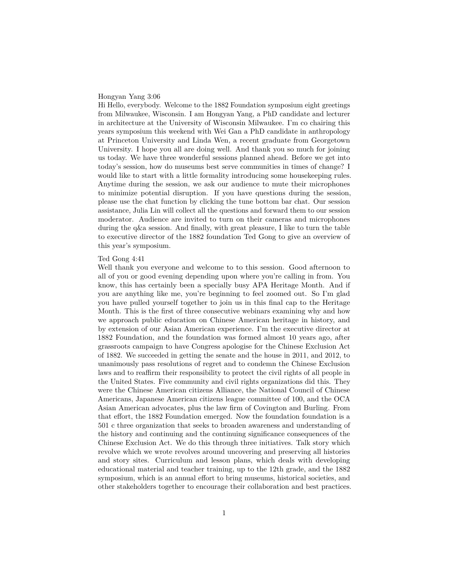## Hongyan Yang 3:06

Hi Hello, everybody. Welcome to the 1882 Foundation symposium eight greetings from Milwaukee, Wisconsin. I am Hongyan Yang, a PhD candidate and lecturer in architecture at the University of Wisconsin Milwaukee. I'm co chairing this years symposium this weekend with Wei Gan a PhD candidate in anthropology at Princeton University and Linda Wen, a recent graduate from Georgetown University. I hope you all are doing well. And thank you so much for joining us today. We have three wonderful sessions planned ahead. Before we get into today's session, how do museums best serve communities in times of change? I would like to start with a little formality introducing some housekeeping rules. Anytime during the session, we ask our audience to mute their microphones to minimize potential disruption. If you have questions during the session, please use the chat function by clicking the tune bottom bar chat. Our session assistance, Julia Lin will collect all the questions and forward them to our session moderator. Audience are invited to turn on their cameras and microphones during the q&a session. And finally, with great pleasure, I like to turn the table to executive director of the 1882 foundation Ted Gong to give an overview of this year's symposium.

## Ted Gong 4:41

Well thank you everyone and welcome to to this session. Good afternoon to all of you or good evening depending upon where you're calling in from. You know, this has certainly been a specially busy APA Heritage Month. And if you are anything like me, you're beginning to feel zoomed out. So I'm glad you have pulled yourself together to join us in this final cap to the Heritage Month. This is the first of three consecutive webinars examining why and how we approach public education on Chinese American heritage in history, and by extension of our Asian American experience. I'm the executive director at 1882 Foundation, and the foundation was formed almost 10 years ago, after grassroots campaign to have Congress apologise for the Chinese Exclusion Act of 1882. We succeeded in getting the senate and the house in 2011, and 2012, to unanimously pass resolutions of regret and to condemn the Chinese Exclusion laws and to reaffirm their responsibility to protect the civil rights of all people in the United States. Five community and civil rights organizations did this. They were the Chinese American citizens Alliance, the National Council of Chinese Americans, Japanese American citizens league committee of 100, and the OCA Asian American advocates, plus the law firm of Covington and Burling. From that effort, the 1882 Foundation emerged. Now the foundation foundation is a 501 c three organization that seeks to broaden awareness and understanding of the history and continuing and the continuing significance consequences of the Chinese Exclusion Act. We do this through three initiatives. Talk story which revolve which we wrote revolves around uncovering and preserving all histories and story sites. Curriculum and lesson plans, which deals with developing educational material and teacher training, up to the 12th grade, and the 1882 symposium, which is an annual effort to bring museums, historical societies, and other stakeholders together to encourage their collaboration and best practices.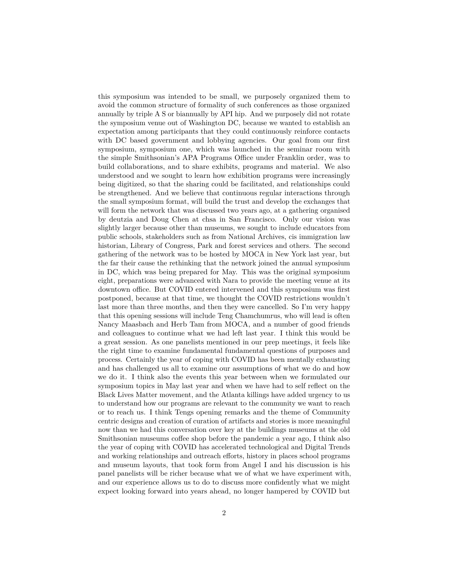this symposium was intended to be small, we purposely organized them to avoid the common structure of formality of such conferences as those organized annually by triple A S or biannually by API hip. And we purposely did not rotate the symposium venue out of Washington DC, because we wanted to establish an expectation among participants that they could continuously reinforce contacts with DC based government and lobbying agencies. Our goal from our first symposium, symposium one, which was launched in the seminar room with the simple Smithsonian's APA Programs Office under Franklin order, was to build collaborations, and to share exhibits, programs and material. We also understood and we sought to learn how exhibition programs were increasingly being digitized, so that the sharing could be facilitated, and relationships could be strengthened. And we believe that continuous regular interactions through the small symposium format, will build the trust and develop the exchanges that will form the network that was discussed two years ago, at a gathering organised by deutzia and Doug Chen at chsa in San Francisco. Only our vision was slightly larger because other than museums, we sought to include educators from public schools, stakeholders such as from National Archives, cis immigration law historian, Library of Congress, Park and forest services and others. The second gathering of the network was to be hosted by MOCA in New York last year, but the far their cause the rethinking that the network joined the annual symposium in DC, which was being prepared for May. This was the original symposium eight, preparations were advanced with Nara to provide the meeting venue at its downtown office. But COVID entered intervened and this symposium was first postponed, because at that time, we thought the COVID restrictions wouldn't last more than three months, and then they were cancelled. So I'm very happy that this opening sessions will include Teng Chamchumrus, who will lead is often Nancy Maasbach and Herb Tam from MOCA, and a number of good friends and colleagues to continue what we had left last year. I think this would be a great session. As one panelists mentioned in our prep meetings, it feels like the right time to examine fundamental fundamental questions of purposes and process. Certainly the year of coping with COVID has been mentally exhausting and has challenged us all to examine our assumptions of what we do and how we do it. I think also the events this year between when we formulated our symposium topics in May last year and when we have had to self reflect on the Black Lives Matter movement, and the Atlanta killings have added urgency to us to understand how our programs are relevant to the community we want to reach or to reach us. I think Tengs opening remarks and the theme of Community centric designs and creation of curation of artifacts and stories is more meaningful now than we had this conversation over key at the buildings museums at the old Smithsonian museums coffee shop before the pandemic a year ago, I think also the year of coping with COVID has accelerated technological and Digital Trends and working relationships and outreach efforts, history in places school programs and museum layouts, that took form from Angel I and his discussion is his panel panelists will be richer because what we of what we have experiment with, and our experience allows us to do to discuss more confidently what we might expect looking forward into years ahead, no longer hampered by COVID but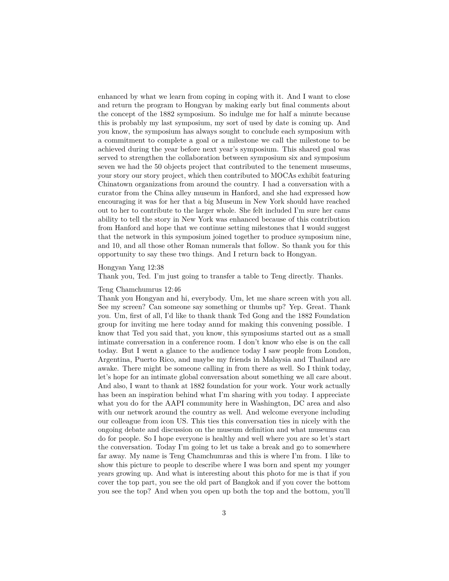enhanced by what we learn from coping in coping with it. And I want to close and return the program to Hongyan by making early but final comments about the concept of the 1882 symposium. So indulge me for half a minute because this is probably my last symposium, my sort of used by date is coming up. And you know, the symposium has always sought to conclude each symposium with a commitment to complete a goal or a milestone we call the milestone to be achieved during the year before next year's symposium. This shared goal was served to strengthen the collaboration between symposium six and symposium seven we had the 50 objects project that contributed to the tenement museums, your story our story project, which then contributed to MOCAs exhibit featuring Chinatown organizations from around the country. I had a conversation with a curator from the China alley museum in Hanford, and she had expressed how encouraging it was for her that a big Museum in New York should have reached out to her to contribute to the larger whole. She felt included I'm sure her cams ability to tell the story in New York was enhanced because of this contribution from Hanford and hope that we continue setting milestones that I would suggest that the network in this symposium joined together to produce symposium nine, and 10, and all those other Roman numerals that follow. So thank you for this opportunity to say these two things. And I return back to Hongyan.

# Hongyan Yang 12:38

Thank you, Ted. I'm just going to transfer a table to Teng directly. Thanks.

## Teng Chamchumrus 12:46

Thank you Hongyan and hi, everybody. Um, let me share screen with you all. See my screen? Can someone say something or thumbs up? Yep. Great. Thank you. Um, first of all, I'd like to thank thank Ted Gong and the 1882 Foundation group for inviting me here today annd for making this convening possible. I know that Ted you said that, you know, this symposiums started out as a small intimate conversation in a conference room. I don't know who else is on the call today. But I went a glance to the audience today I saw people from London, Argentina, Puerto Rico, and maybe my friends in Malaysia and Thailand are awake. There might be someone calling in from there as well. So I think today, let's hope for an intimate global conversation about something we all care about. And also, I want to thank at 1882 foundation for your work. Your work actually has been an inspiration behind what I'm sharing with you today. I appreciate what you do for the AAPI community here in Washington, DC area and also with our network around the country as well. And welcome everyone including our colleague from icon US. This ties this conversation ties in nicely with the ongoing debate and discussion on the museum definition and what museums can do for people. So I hope everyone is healthy and well where you are so let's start the conversation. Today I'm going to let us take a break and go to somewhere far away. My name is Teng Chamchumras and this is where I'm from. I like to show this picture to people to describe where I was born and spent my younger years growing up. And what is interesting about this photo for me is that if you cover the top part, you see the old part of Bangkok and if you cover the bottom you see the top? And when you open up both the top and the bottom, you'll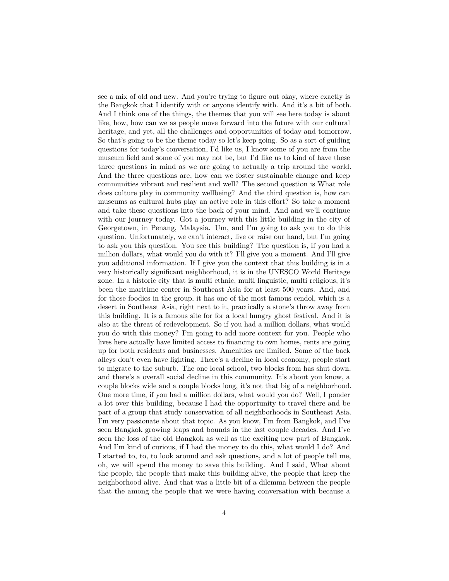see a mix of old and new. And you're trying to figure out okay, where exactly is the Bangkok that I identify with or anyone identify with. And it's a bit of both. And I think one of the things, the themes that you will see here today is about like, how, how can we as people move forward into the future with our cultural heritage, and yet, all the challenges and opportunities of today and tomorrow. So that's going to be the theme today so let's keep going. So as a sort of guiding questions for today's conversation, I'd like us, I know some of you are from the museum field and some of you may not be, but I'd like us to kind of have these three questions in mind as we are going to actually a trip around the world. And the three questions are, how can we foster sustainable change and keep communities vibrant and resilient and well? The second question is What role does culture play in community wellbeing? And the third question is, how can museums as cultural hubs play an active role in this effort? So take a moment and take these questions into the back of your mind. And and we'll continue with our journey today. Got a journey with this little building in the city of Georgetown, in Penang, Malaysia. Um, and I'm going to ask you to do this question. Unfortunately, we can't interact, live or raise our hand, but I'm going to ask you this question. You see this building? The question is, if you had a million dollars, what would you do with it? I'll give you a moment. And I'll give you additional information. If I give you the context that this building is in a very historically significant neighborhood, it is in the UNESCO World Heritage zone. In a historic city that is multi ethnic, multi linguistic, multi religious, it's been the maritime center in Southeast Asia for at least 500 years. And, and for those foodies in the group, it has one of the most famous cendol, which is a desert in Southeast Asia, right next to it, practically a stone's throw away from this building. It is a famous site for for a local hungry ghost festival. And it is also at the threat of redevelopment. So if you had a million dollars, what would you do with this money? I'm going to add more context for you. People who lives here actually have limited access to financing to own homes, rents are going up for both residents and businesses. Amenities are limited. Some of the back alleys don't even have lighting. There's a decline in local economy, people start to migrate to the suburb. The one local school, two blocks from has shut down, and there's a overall social decline in this community. It's about you know, a couple blocks wide and a couple blocks long, it's not that big of a neighborhood. One more time, if you had a million dollars, what would you do? Well, I ponder a lot over this building, because I had the opportunity to travel there and be part of a group that study conservation of all neighborhoods in Southeast Asia. I'm very passionate about that topic. As you know, I'm from Bangkok, and I've seen Bangkok growing leaps and bounds in the last couple decades. And I've seen the loss of the old Bangkok as well as the exciting new part of Bangkok. And I'm kind of curious, if I had the money to do this, what would I do? And I started to, to, to look around and ask questions, and a lot of people tell me, oh, we will spend the money to save this building. And I said, What about the people, the people that make this building alive, the people that keep the neighborhood alive. And that was a little bit of a dilemma between the people that the among the people that we were having conversation with because a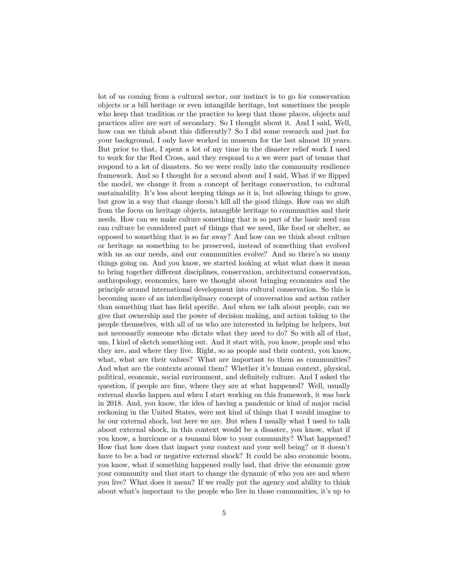lot of us coming from a cultural sector, our instinct is to go for conservation objects or a bill heritage or even intangible heritage, but sometimes the people who keep that tradition or the practice to keep that those places, objects and practices alive are sort of secondary. So I thought about it. And I said, Well, how can we think about this differently? So I did some research and just for your background, I only have worked in museum for the last almost 10 years. But prior to that, I spent a lot of my time in the disaster relief work I used to work for the Red Cross, and they respond to a we were part of teams that respond to a lot of disasters. So we were really into the community resilience framework. And so I thought for a second about and I said, What if we flipped the model, we change it from a concept of heritage conservation, to cultural sustainability. It's less about keeping things as it is, but allowing things to grow, but grow in a way that change doesn't kill all the good things. How can we shift from the focus on heritage objects, intangible heritage to communities and their needs. How can we make culture something that is so part of the basic need can can culture be considered part of things that we need, like food or shelter, as opposed to something that is so far away? And how can we think about culture or heritage as something to be preserved, instead of something that evolved with us as our needs, and our communities evolve? And so there's so many things going on. And you know, we started looking at what what does it mean to bring together different disciplines, conservation, architectural conservation, anthropology, economics, have we thought about bringing economics and the principle around international development into cultural conservation. So this is becoming more of an interdisciplinary concept of conversation and action rather than something that has field specific. And when we talk about people, can we give that ownership and the power of decision making, and action taking to the people themselves, with all of us who are interested in helping be helpers, but not necessarily someone who dictate what they need to do? So with all of that, um, I kind of sketch something out. And it start with, you know, people and who they are, and where they live. Right, so as people and their context, you know, what, what are their values? What are important to them as communities? And what are the contexts around them? Whether it's human context, physical, political, economic, social environment, and definitely culture. And I asked the question, if people are fine, where they are at what happened? Well, usually external shocks happen and when I start working on this framework, it was back in 2018. And, you know, the idea of having a pandemic or kind of major racial reckoning in the United States, were not kind of things that I would imagine to be our external shock, but here we are. But when I usually what I used to talk about external shock, in this context would be a disaster, you know, what if you know, a hurricane or a tsunami blow to your community? What happened? How that how does that impact your context and your well being? or it doesn't have to be a bad or negative external shock? It could be also economic boom, you know, what if something happened really bad, that drive the economic grow your community and that start to change the dynamic of who you are and where you live? What does it mean? If we really put the agency and ability to think about what's important to the people who live in those communities, it's up to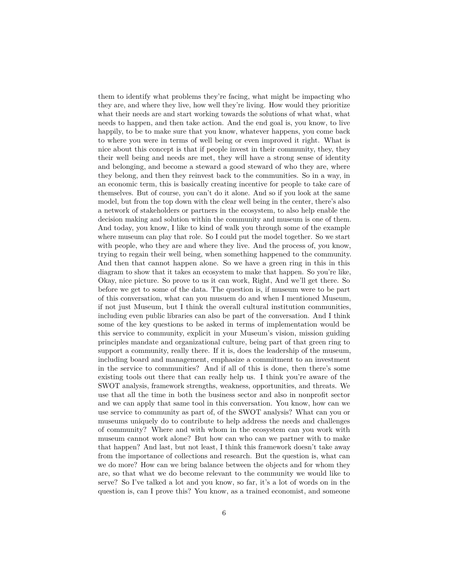them to identify what problems they're facing, what might be impacting who they are, and where they live, how well they're living. How would they prioritize what their needs are and start working towards the solutions of what what, what needs to happen, and then take action. And the end goal is, you know, to live happily, to be to make sure that you know, whatever happens, you come back to where you were in terms of well being or even improved it right. What is nice about this concept is that if people invest in their community, they, they their well being and needs are met, they will have a strong sense of identity and belonging, and become a steward a good steward of who they are, where they belong, and then they reinvest back to the communities. So in a way, in an economic term, this is basically creating incentive for people to take care of themselves. But of course, you can't do it alone. And so if you look at the same model, but from the top down with the clear well being in the center, there's also a network of stakeholders or partners in the ecosystem, to also help enable the decision making and solution within the community and museum is one of them. And today, you know, I like to kind of walk you through some of the example where museum can play that role. So I could put the model together. So we start with people, who they are and where they live. And the process of, you know, trying to regain their well being, when something happened to the community. And then that cannot happen alone. So we have a green ring in this in this diagram to show that it takes an ecosystem to make that happen. So you're like, Okay, nice picture. So prove to us it can work, Right, And we'll get there. So before we get to some of the data. The question is, if museum were to be part of this conversation, what can you musuem do and when I mentioned Museum, if not just Museum, but I think the overall cultural institution communities, including even public libraries can also be part of the conversation. And I think some of the key questions to be asked in terms of implementation would be this service to community, explicit in your Museum's vision, mission guiding principles mandate and organizational culture, being part of that green ring to support a community, really there. If it is, does the leadership of the museum, including board and management, emphasize a commitment to an investment in the service to communities? And if all of this is done, then there's some existing tools out there that can really help us. I think you're aware of the SWOT analysis, framework strengths, weakness, opportunities, and threats. We use that all the time in both the business sector and also in nonprofit sector and we can apply that same tool in this conversation. You know, how can we use service to community as part of, of the SWOT analysis? What can you or museums uniquely do to contribute to help address the needs and challenges of community? Where and with whom in the ecosystem can you work with museum cannot work alone? But how can who can we partner with to make that happen? And last, but not least, I think this framework doesn't take away from the importance of collections and research. But the question is, what can we do more? How can we bring balance between the objects and for whom they are, so that what we do become relevant to the community we would like to serve? So I've talked a lot and you know, so far, it's a lot of words on in the question is, can I prove this? You know, as a trained economist, and someone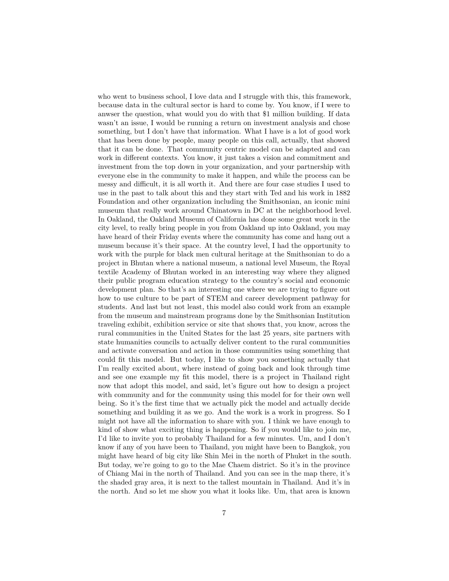who went to business school, I love data and I struggle with this, this framework, because data in the cultural sector is hard to come by. You know, if I were to anwser the question, what would you do with that \$1 million building. If data wasn't an issue, I would be running a return on investment analysis and chose something, but I don't have that information. What I have is a lot of good work that has been done by people, many people on this call, actually, that showed that it can be done. That community centric model can be adapted and can work in different contexts. You know, it just takes a vision and commitment and investment from the top down in your organization, and your partnership with everyone else in the community to make it happen, and while the process can be messy and difficult, it is all worth it. And there are four case studies I used to use in the past to talk about this and they start with Ted and his work in 1882 Foundation and other organization including the Smithsonian, an iconic mini museum that really work around Chinatown in DC at the neighborhood level. In Oakland, the Oakland Museum of California has done some great work in the city level, to really bring people in you from Oakland up into Oakland, you may have heard of their Friday events where the community has come and hang out a museum because it's their space. At the country level, I had the opportunity to work with the purple for black men cultural heritage at the Smithsonian to do a project in Bhutan where a national museum, a national level Museum, the Royal textile Academy of Bhutan worked in an interesting way where they aligned their public program education strategy to the country's social and economic development plan. So that's an interesting one where we are trying to figure out how to use culture to be part of STEM and career development pathway for students. And last but not least, this model also could work from an example from the museum and mainstream programs done by the Smithsonian Institution traveling exhibit, exhibition service or site that shows that, you know, across the rural communities in the United States for the last 25 years, site partners with state humanities councils to actually deliver content to the rural communities and activate conversation and action in those communities using something that could fit this model. But today, I like to show you something actually that I'm really excited about, where instead of going back and look through time and see one example my fit this model, there is a project in Thailand right now that adopt this model, and said, let's figure out how to design a project with community and for the community using this model for for their own well being. So it's the first time that we actually pick the model and actually decide something and building it as we go. And the work is a work in progress. So I might not have all the information to share with you. I think we have enough to kind of show what exciting thing is happening. So if you would like to join me, I'd like to invite you to probably Thailand for a few minutes. Um, and I don't know if any of you have been to Thailand, you might have been to Bangkok, you might have heard of big city like Shin Mei in the north of Phuket in the south. But today, we're going to go to the Mae Chaem district. So it's in the province of Chiang Mai in the north of Thailand. And you can see in the map there, it's the shaded gray area, it is next to the tallest mountain in Thailand. And it's in the north. And so let me show you what it looks like. Um, that area is known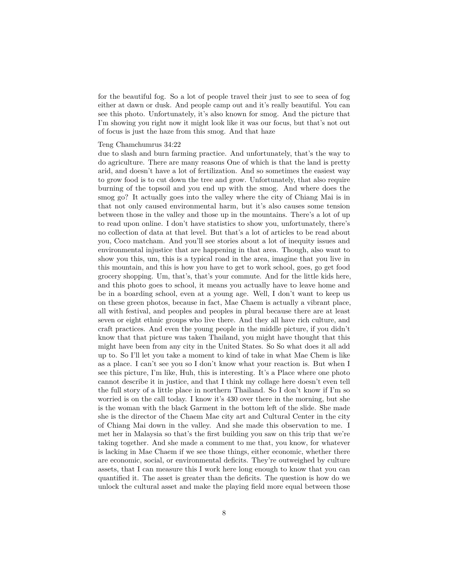for the beautiful fog. So a lot of people travel their just to see to seea of fog either at dawn or dusk. And people camp out and it's really beautiful. You can see this photo. Unfortunately, it's also known for smog. And the picture that I'm showing you right now it might look like it was our focus, but that's not out of focus is just the haze from this smog. And that haze

# Teng Chamchumrus 34:22

due to slash and burn farming practice. And unfortunately, that's the way to do agriculture. There are many reasons One of which is that the land is pretty arid, and doesn't have a lot of fertilization. And so sometimes the easiest way to grow food is to cut down the tree and grow. Unfortunately, that also require burning of the topsoil and you end up with the smog. And where does the smog go? It actually goes into the valley where the city of Chiang Mai is in that not only caused environmental harm, but it's also causes some tension between those in the valley and those up in the mountains. There's a lot of up to read upon online. I don't have statistics to show you, unfortunately, there's no collection of data at that level. But that's a lot of articles to be read about you, Coco matcham. And you'll see stories about a lot of inequity issues and environmental injustice that are happening in that area. Though, also want to show you this, um, this is a typical road in the area, imagine that you live in this mountain, and this is how you have to get to work school, goes, go get food grocery shopping. Um, that's, that's your commute. And for the little kids here, and this photo goes to school, it means you actually have to leave home and be in a boarding school, even at a young age. Well, I don't want to keep us on these green photos, because in fact, Mae Chaem is actually a vibrant place, all with festival, and peoples and peoples in plural because there are at least seven or eight ethnic groups who live there. And they all have rich culture, and craft practices. And even the young people in the middle picture, if you didn't know that that picture was taken Thailand, you might have thought that this might have been from any city in the United States. So So what does it all add up to. So I'll let you take a moment to kind of take in what Mae Chem is like as a place. I can't see you so I don't know what your reaction is. But when I see this picture, I'm like, Huh, this is interesting. It's a Place where one photo cannot describe it in justice, and that I think my collage here doesn't even tell the full story of a little place in northern Thailand. So I don't know if I'm so worried is on the call today. I know it's 430 over there in the morning, but she is the woman with the black Garment in the bottom left of the slide. She made she is the director of the Chaem Mae city art and Cultural Center in the city of Chiang Mai down in the valley. And she made this observation to me. I met her in Malaysia so that's the first building you saw on this trip that we're taking together. And she made a comment to me that, you know, for whatever is lacking in Mae Chaem if we see those things, either economic, whether there are economic, social, or environmental deficits. They're outweighed by culture assets, that I can measure this I work here long enough to know that you can quantified it. The asset is greater than the deficits. The question is how do we unlock the cultural asset and make the playing field more equal between those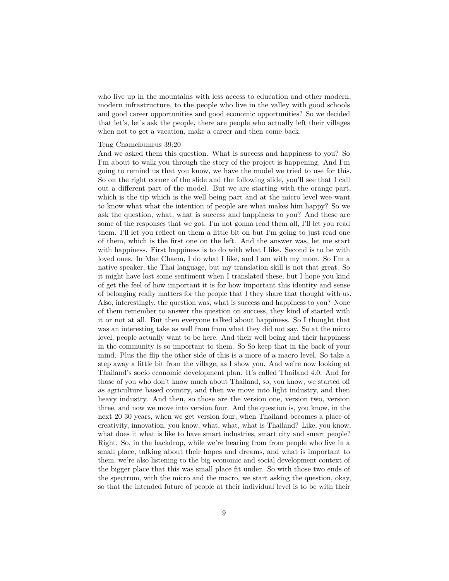who live up in the mountains with less access to education and other modern, modern infrastructure, to the people who live in the valley with good schools and good career opportunities and good economic opportunities? So we decided that let's, let's ask the people, there are people who actually left their villages when not to get a vacation, make a career and then come back.

# Teng Chamchumrus 39:20

And we asked them this question. What is success and happiness to you? So I'm about to walk you through the story of the project is happening. And I'm going to remind us that you know, we have the model we tried to use for this. So on the right corner of the slide and the following slide, you'll see that I call out a different part of the model. But we are starting with the orange part, which is the tip which is the well being part and at the micro level wee want to know what what the intention of people are what makes him happy? So we ask the question, what, what is success and happiness to you? And these are some of the responses that we got. I'm not gonna read them all, I'll let you read them. I'll let you reflect on them a little bit on but I'm going to just read one of them, which is the first one on the left. And the answer was, let me start with happiness. First happiness is to do with what I like. Second is to be with loved ones. In Mae Chaem, I do what I like, and I am with my mom. So I'm a native speaker, the Thai language, but my translation skill is not that great. So it might have lost some sentiment when I translated these, but I hope you kind of get the feel of how important it is for how important this identity and sense of belonging really matters for the people that I they share that thought with us. Also, interestingly, the question was, what is success and happiness to you? None of them remember to answer the question on success, they kind of started with it or not at all. But then everyone talked about happiness. So I thought that was an interesting take as well from from what they did not say. So at the micro level, people actually want to be here. And their well being and their happiness in the community is so important to them. So So keep that in the back of your mind. Plus the flip the other side of this is a more of a macro level. So take a step away a little bit from the village, as I show you. And we're now looking at Thailand's socio economic development plan. It's called Thailand 4.0. And for those of you who don't know much about Thailand, so, you know, we started off as agriculture based country, and then we move into light industry, and then heavy industry. And then, so those are the version one, version two, version three, and now we move into version four. And the question is, you know, in the next 20 30 years, when we get version four, when Thailand becomes a place of creativity, innovation, you know, what, what, what is Thailand? Like, you know, what does it what is like to have smart industries, smart city and smart people? Right. So, in the backdrop, while we're hearing from from people who live in a small place, talking about their hopes and dreams, and what is important to them, we're also listening to the big economic and social development context of the bigger place that this was small place fit under. So with those two ends of the spectrum, with the micro and the macro, we start asking the question, okay, so that the intended future of people at their individual level is to be with their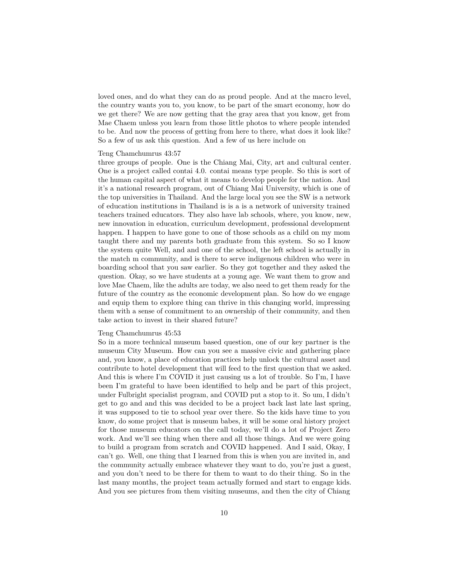loved ones, and do what they can do as proud people. And at the macro level, the country wants you to, you know, to be part of the smart economy, how do we get there? We are now getting that the gray area that you know, get from Mae Chaem unless you learn from those little photos to where people intended to be. And now the process of getting from here to there, what does it look like? So a few of us ask this question. And a few of us here include on

## Teng Chamchumrus 43:57

three groups of people. One is the Chiang Mai, City, art and cultural center. One is a project called contai 4.0. contai means type people. So this is sort of the human capital aspect of what it means to develop people for the nation. And it's a national research program, out of Chiang Mai University, which is one of the top universities in Thailand. And the large local you see the SW is a network of education institutions in Thailand is is a is a network of university trained teachers trained educators. They also have lab schools, where, you know, new, new innovation in education, curriculum development, professional development happen. I happen to have gone to one of those schools as a child on my mom taught there and my parents both graduate from this system. So so I know the system quite Well, and and one of the school, the left school is actually in the match m community, and is there to serve indigenous children who were in boarding school that you saw earlier. So they got together and they asked the question. Okay, so we have students at a young age. We want them to grow and love Mae Chaem, like the adults are today, we also need to get them ready for the future of the country as the economic development plan. So how do we engage and equip them to explore thing can thrive in this changing world, impressing them with a sense of commitment to an ownership of their community, and then take action to invest in their shared future?

# Teng Chamchumrus 45:53

So in a more technical museum based question, one of our key partner is the museum City Museum. How can you see a massive civic and gathering place and, you know, a place of education practices help unlock the cultural asset and contribute to hotel development that will feed to the first question that we asked. And this is where I'm COVID it just causing us a lot of trouble. So I'm, I have been I'm grateful to have been identified to help and be part of this project, under Fulbright specialist program, and COVID put a stop to it. So um, I didn't get to go and and this was decided to be a project back last late last spring, it was supposed to tie to school year over there. So the kids have time to you know, do some project that is museum babes, it will be some oral history project for those museum educators on the call today, we'll do a lot of Project Zero work. And we'll see thing when there and all those things. And we were going to build a program from scratch and COVID happened. And I said, Okay, I can't go. Well, one thing that I learned from this is when you are invited in, and the community actually embrace whatever they want to do, you're just a guest, and you don't need to be there for them to want to do their thing. So in the last many months, the project team actually formed and start to engage kids. And you see pictures from them visiting museums, and then the city of Chiang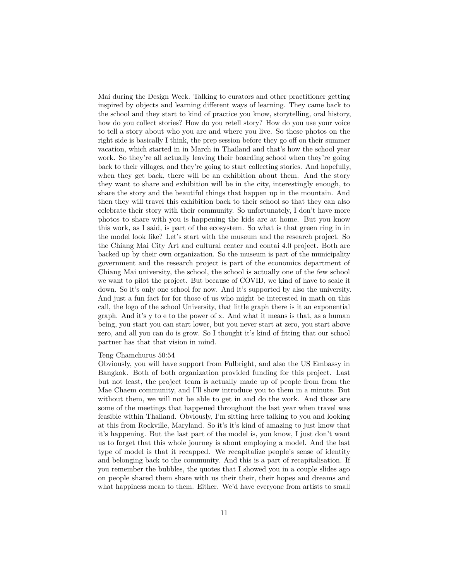Mai during the Design Week. Talking to curators and other practitioner getting inspired by objects and learning different ways of learning. They came back to the school and they start to kind of practice you know, storytelling, oral history, how do you collect stories? How do you retell story? How do you use your voice to tell a story about who you are and where you live. So these photos on the right side is basically I think, the prep session before they go off on their summer vacation, which started in in March in Thailand and that's how the school year work. So they're all actually leaving their boarding school when they're going back to their villages, and they're going to start collecting stories. And hopefully, when they get back, there will be an exhibition about them. And the story they want to share and exhibition will be in the city, interestingly enough, to share the story and the beautiful things that happen up in the mountain. And then they will travel this exhibition back to their school so that they can also celebrate their story with their community. So unfortunately, I don't have more photos to share with you is happening the kids are at home. But you know this work, as I said, is part of the ecosystem. So what is that green ring in in the model look like? Let's start with the museum and the research project. So the Chiang Mai City Art and cultural center and contai 4.0 project. Both are backed up by their own organization. So the museum is part of the municipality government and the research project is part of the economics department of Chiang Mai university, the school, the school is actually one of the few school we want to pilot the project. But because of COVID, we kind of have to scale it down. So it's only one school for now. And it's supported by also the university. And just a fun fact for for those of us who might be interested in math on this call, the logo of the school University, that little graph there is it an exponential graph. And it's y to e to the power of x. And what it means is that, as a human being, you start you can start lower, but you never start at zero, you start above zero, and all you can do is grow. So I thought it's kind of fitting that our school partner has that that vision in mind.

### Teng Chamchurus 50:54

Obviously, you will have support from Fulbright, and also the US Embassy in Bangkok. Both of both organization provided funding for this project. Last but not least, the project team is actually made up of people from from the Mae Chaem community, and I'll show introduce you to them in a minute. But without them, we will not be able to get in and do the work. And those are some of the meetings that happened throughout the last year when travel was feasible within Thailand. Obviously, I'm sitting here talking to you and looking at this from Rockville, Maryland. So it's it's kind of amazing to just know that it's happening. But the last part of the model is, you know, I just don't want us to forget that this whole journey is about employing a model. And the last type of model is that it recapped. We recapitalize people's sense of identity and belonging back to the community. And this is a part of recapitalisation. If you remember the bubbles, the quotes that I showed you in a couple slides ago on people shared them share with us their their, their hopes and dreams and what happiness mean to them. Either. We'd have everyone from artists to small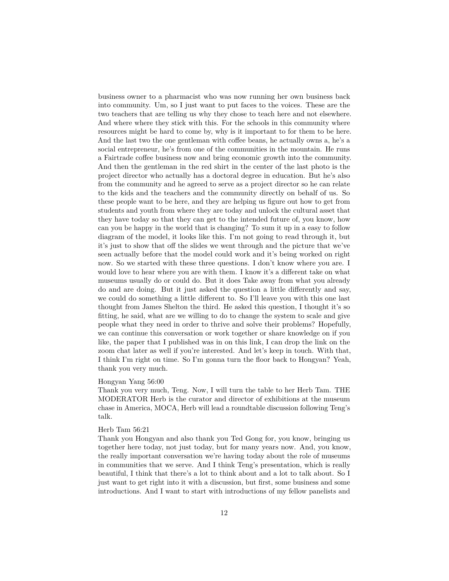business owner to a pharmacist who was now running her own business back into community. Um, so I just want to put faces to the voices. These are the two teachers that are telling us why they chose to teach here and not elsewhere. And where where they stick with this. For the schools in this community where resources might be hard to come by, why is it important to for them to be here. And the last two the one gentleman with coffee beans, he actually owns a, he's a social entrepreneur, he's from one of the communities in the mountain. He runs a Fairtrade coffee business now and bring economic growth into the community. And then the gentleman in the red shirt in the center of the last photo is the project director who actually has a doctoral degree in education. But he's also from the community and he agreed to serve as a project director so he can relate to the kids and the teachers and the community directly on behalf of us. So these people want to be here, and they are helping us figure out how to get from students and youth from where they are today and unlock the cultural asset that they have today so that they can get to the intended future of, you know, how can you be happy in the world that is changing? To sum it up in a easy to follow diagram of the model, it looks like this. I'm not going to read through it, but it's just to show that off the slides we went through and the picture that we've seen actually before that the model could work and it's being worked on right now. So we started with these three questions. I don't know where you are. I would love to hear where you are with them. I know it's a different take on what museums usually do or could do. But it does Take away from what you already do and are doing. But it just asked the question a little differently and say, we could do something a little different to. So I'll leave you with this one last thought from James Shelton the third. He asked this question, I thought it's so fitting, he said, what are we willing to do to change the system to scale and give people what they need in order to thrive and solve their problems? Hopefully, we can continue this conversation or work together or share knowledge on if you like, the paper that I published was in on this link, I can drop the link on the zoom chat later as well if you're interested. And let's keep in touch. With that, I think I'm right on time. So I'm gonna turn the floor back to Hongyan? Yeah, thank you very much.

### Hongyan Yang 56:00

Thank you very much, Teng. Now, I will turn the table to her Herb Tam. THE MODERATOR Herb is the curator and director of exhibitions at the museum chase in America, MOCA, Herb will lead a roundtable discussion following Teng's talk.

#### Herb Tam 56:21

Thank you Hongyan and also thank you Ted Gong for, you know, bringing us together here today, not just today, but for many years now. And, you know, the really important conversation we're having today about the role of museums in communities that we serve. And I think Teng's presentation, which is really beautiful, I think that there's a lot to think about and a lot to talk about. So I just want to get right into it with a discussion, but first, some business and some introductions. And I want to start with introductions of my fellow panelists and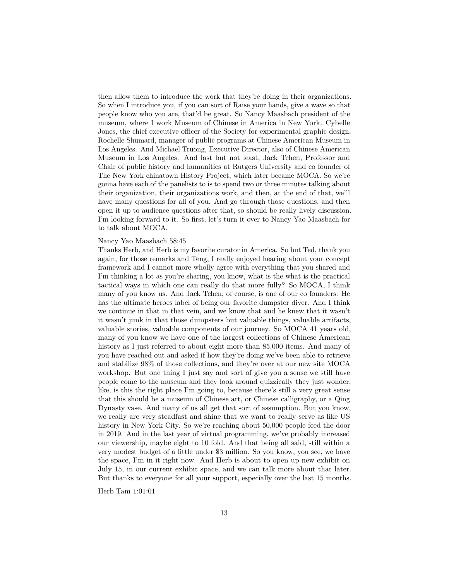then allow them to introduce the work that they're doing in their organizations. So when I introduce you, if you can sort of Raise your hands, give a wave so that people know who you are, that'd be great. So Nancy Maasbach president of the museum, where I work Museum of Chinese in America in New York. Cybelle Jones, the chief executive officer of the Society for experimental graphic design, Rochelle Shumard, manager of public programs at Chinese American Museum in Los Angeles. And Michael Truong, Executive Director, also of Chinese American Museum in Los Angeles. And last but not least, Jack Tchen, Professor and Chair of public history and humanities at Rutgers University and co founder of The New York chinatown History Project, which later became MOCA. So we're gonna have each of the panelists to is to spend two or three minutes talking about their organization, their organizations work, and then, at the end of that, we'll have many questions for all of you. And go through those questions, and then open it up to audience questions after that, so should be really lively discussion. I'm looking forward to it. So first, let's turn it over to Nancy Yao Maasbach for to talk about MOCA.

## Nancy Yao Maasbach 58:45

Thanks Herb, and Herb is my favorite curator in America. So but Ted, thank you again, for those remarks and Teng, I really enjoyed hearing about your concept framework and I cannot more wholly agree with everything that you shared and I'm thinking a lot as you're sharing, you know, what is the what is the practical tactical ways in which one can really do that more fully? So MOCA, I think many of you know us. And Jack Tchen, of course, is one of our co founders. He has the ultimate heroes label of being our favorite dumpster diver. And I think we continue in that in that vein, and we know that and he knew that it wasn't it wasn't junk in that those dumpsters but valuable things, valuable artifacts, valuable stories, valuable components of our journey. So MOCA 41 years old, many of you know we have one of the largest collections of Chinese American history as I just referred to about eight more than 85,000 items. And many of you have reached out and asked if how they're doing we've been able to retrieve and stabilize 98% of those collections, and they're over at our new site MOCA workshop. But one thing I just say and sort of give you a sense we still have people come to the museum and they look around quizzically they just wonder, like, is this the right place I'm going to, because there's still a very great sense that this should be a museum of Chinese art, or Chinese calligraphy, or a Qing Dynasty vase. And many of us all get that sort of assumption. But you know, we really are very steadfast and shine that we want to really serve as like US history in New York City. So we're reaching about 50,000 people feed the door in 2019. And in the last year of virtual programming, we've probably increased our viewership, maybe eight to 10 fold. And that being all said, still within a very modest budget of a little under \$3 million. So you know, you see, we have the space, I'm in it right now. And Herb is about to open up new exhibit on July 15, in our current exhibit space, and we can talk more about that later. But thanks to everyone for all your support, especially over the last 15 months.

Herb Tam 1:01:01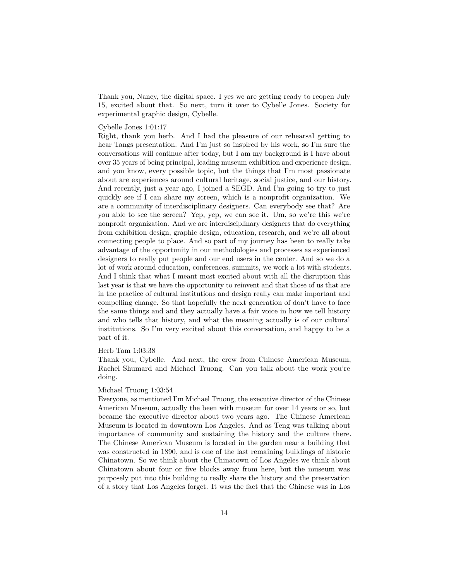Thank you, Nancy, the digital space. I yes we are getting ready to reopen July 15, excited about that. So next, turn it over to Cybelle Jones. Society for experimental graphic design, Cybelle.

### Cybelle Jones 1:01:17

Right, thank you herb. And I had the pleasure of our rehearsal getting to hear Tangs presentation. And I'm just so inspired by his work, so I'm sure the conversations will continue after today, but I am my background is I have about over 35 years of being principal, leading museum exhibition and experience design, and you know, every possible topic, but the things that I'm most passionate about are experiences around cultural heritage, social justice, and our history. And recently, just a year ago, I joined a SEGD. And I'm going to try to just quickly see if I can share my screen, which is a nonprofit organization. We are a community of interdisciplinary designers. Can everybody see that? Are you able to see the screen? Yep, yep, we can see it. Um, so we're this we're nonprofit organization. And we are interdisciplinary designers that do everything from exhibition design, graphic design, education, research, and we're all about connecting people to place. And so part of my journey has been to really take advantage of the opportunity in our methodologies and processes as experienced designers to really put people and our end users in the center. And so we do a lot of work around education, conferences, summits, we work a lot with students. And I think that what I meant most excited about with all the disruption this last year is that we have the opportunity to reinvent and that those of us that are in the practice of cultural institutions and design really can make important and compelling change. So that hopefully the next generation of don't have to face the same things and and they actually have a fair voice in how we tell history and who tells that history, and what the meaning actually is of our cultural institutions. So I'm very excited about this conversation, and happy to be a part of it.

## Herb Tam 1:03:38

Thank you, Cybelle. And next, the crew from Chinese American Museum, Rachel Shumard and Michael Truong. Can you talk about the work you're doing.

## Michael Truong 1:03:54

Everyone, as mentioned I'm Michael Truong, the executive director of the Chinese American Museum, actually the been with museum for over 14 years or so, but became the executive director about two years ago. The Chinese American Museum is located in downtown Los Angeles. And as Teng was talking about importance of community and sustaining the history and the culture there. The Chinese American Museum is located in the garden near a building that was constructed in 1890, and is one of the last remaining buildings of historic Chinatown. So we think about the Chinatown of Los Angeles we think about Chinatown about four or five blocks away from here, but the museum was purposely put into this building to really share the history and the preservation of a story that Los Angeles forget. It was the fact that the Chinese was in Los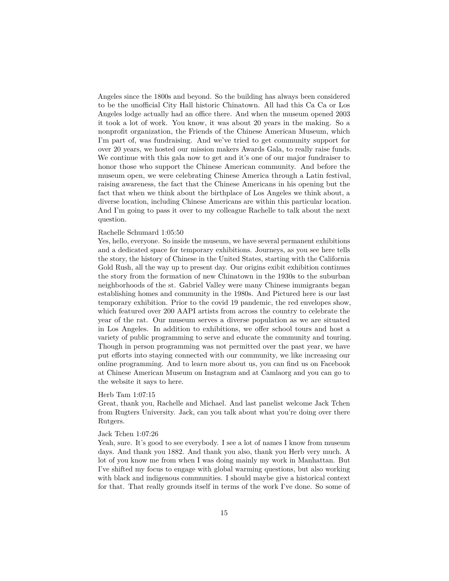Angeles since the 1800s and beyond. So the building has always been considered to be the unofficial City Hall historic Chinatown. All had this Ca Ca or Los Angeles lodge actually had an office there. And when the museum opened 2003 it took a lot of work. You know, it was about 20 years in the making. So a nonprofit organization, the Friends of the Chinese American Museum, which I'm part of, was fundraising. And we've tried to get community support for over 20 years, we hosted our mission makers Awards Gala, to really raise funds. We continue with this gala now to get and it's one of our major fundraiser to honor those who support the Chinese American community. And before the museum open, we were celebrating Chinese America through a Latin festival, raising awareness, the fact that the Chinese Americans in his opening but the fact that when we think about the birthplace of Los Angeles we think about, a diverse location, including Chinese Americans are within this particular location. And I'm going to pass it over to my colleague Rachelle to talk about the next question.

## Rachelle Schumard 1:05:50

Yes, hello, everyone. So inside the museum, we have several permanent exhibitions and a dedicated space for temporary exhibitions. Journeys, as you see here tells the story, the history of Chinese in the United States, starting with the California Gold Rush, all the way up to present day. Our origins exibit exhibition continues the story from the formation of new Chinatown in the 1930s to the suburban neighborhoods of the st. Gabriel Valley were many Chinese immigrants began establishing homes and community in the 1980s. And Pictured here is our last temporary exhibition. Prior to the covid 19 pandemic, the red envelopes show, which featured over 200 AAPI artists from across the country to celebrate the year of the rat. Our museum serves a diverse population as we are situated in Los Angeles. In addition to exhibitions, we offer school tours and host a variety of public programming to serve and educate the community and touring. Though in person programming was not permitted over the past year, we have put efforts into staying connected with our community, we like increasing our online programming. And to learn more about us, you can find us on Facebook at Chinese American Museum on Instagram and at Camlaorg and you can go to the website it says to here.

# Herb Tam 1:07:15

Great, thank you, Rachelle and Michael. And last panelist welcome Jack Tchen from Rugters University. Jack, can you talk about what you're doing over there Rutgers.

## Jack Tchen 1:07:26

Yeah, sure. It's good to see everybody. I see a lot of names I know from museum days. And thank you 1882. And thank you also, thank you Herb very much. A lot of you know me from when I was doing mainly my work in Manhattan. But I've shifted my focus to engage with global warming questions, but also working with black and indigenous communities. I should maybe give a historical context for that. That really grounds itself in terms of the work I've done. So some of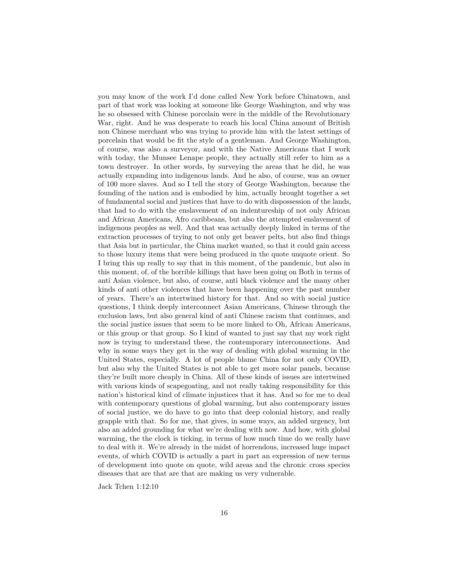you may know of the work I'd done called New York before Chinatown, and part of that work was looking at someone like George Washington, and why was he so obsessed with Chinese porcelain were in the middle of the Revolutionary War, right. And he was desperate to reach his local China amount of British non Chinese merchant who was trying to provide him with the latest settings of porcelain that would be fit the style of a gentleman. And George Washington, of course, was also a surveyor, and with the Native Americans that I work with today, the Munsee Lenape people, they actually still refer to him as a town destroyer. In other words, by surveying the areas that he did, he was actually expanding into indigenous lands. And he also, of course, was an owner of 100 more slaves. And so I tell the story of George Washington, because the founding of the nation and is embodied by him, actually brought together a set of fundamental social and justices that have to do with dispossession of the lands, that had to do with the enslavement of an indentureship of not only African and African Americans, Afro caribbeans, but also the attempted enslavement of indigenous peoples as well. And that was actually deeply linked in terms of the extraction processes of trying to not only get beaver pelts, but also find things that Asia but in particular, the China market wanted, so that it could gain access to those luxury items that were being produced in the quote unquote orient. So I bring this up really to say that in this moment, of the pandemic, but also in this moment, of, of the horrible killings that have been going on Both in terms of anti Asian violence, but also, of course, anti black violence and the many other kinds of anti other violences that have been happening over the past number of years. There's an intertwined history for that. And so with social justice questions, I think deeply interconnect Asian Americans, Chinese through the exclusion laws, but also general kind of anti Chinese racism that continues, and the social justice issues that seem to be more linked to Oh, African Americans, or this group or that group. So I kind of wanted to just say that my work right now is trying to understand these, the contemporary interconnections. And why in some ways they get in the way of dealing with global warming in the United States, especially. A lot of people blame China for not only COVID, but also why the United States is not able to get more solar panels, because they're built more cheaply in China. All of these kinds of issues are intertwined with various kinds of scapegoating, and not really taking responsibility for this nation's historical kind of climate injustices that it has. And so for me to deal with contemporary questions of global warming, but also contemporary issues of social justice, we do have to go into that deep colonial history, and really grapple with that. So for me, that gives, in some ways, an added urgency, but also an added grounding for what we're dealing with now. And how, with global warming, the the clock is ticking, in terms of how much time do we really have to deal with it. We're already in the midst of horrendous, increased huge impact events, of which COVID is actually a part in part an expression of new terms of development into quote on quote, wild areas and the chronic cross species diseases that are that are that are making us very vulnerable.

Jack Tchen 1:12:10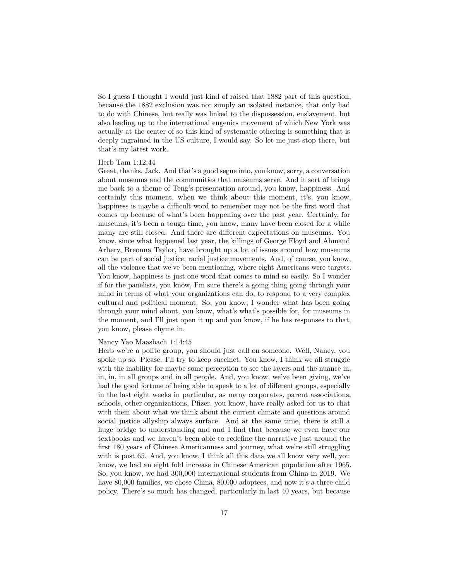So I guess I thought I would just kind of raised that 1882 part of this question, because the 1882 exclusion was not simply an isolated instance, that only had to do with Chinese, but really was linked to the dispossession, enslavement, but also leading up to the international eugenics movement of which New York was actually at the center of so this kind of systematic othering is something that is deeply ingrained in the US culture, I would say. So let me just stop there, but that's my latest work.

# Herb Tam 1:12:44

Great, thanks, Jack. And that's a good segue into, you know, sorry, a conversation about museums and the communities that museums serve. And it sort of brings me back to a theme of Teng's presentation around, you know, happiness. And certainly this moment, when we think about this moment, it's, you know, happiness is maybe a difficult word to remember may not be the first word that comes up because of what's been happening over the past year. Certainly, for museums, it's been a tough time, you know, many have been closed for a while many are still closed. And there are different expectations on museums. You know, since what happened last year, the killings of George Floyd and Ahmaud Arbery, Breonna Taylor, have brought up a lot of issues around how museums can be part of social justice, racial justice movements. And, of course, you know, all the violence that we've been mentioning, where eight Americans were targets. You know, happiness is just one word that comes to mind so easily. So I wonder if for the panelists, you know, I'm sure there's a going thing going through your mind in terms of what your organizations can do, to respond to a very complex cultural and political moment. So, you know, I wonder what has been going through your mind about, you know, what's what's possible for, for museums in the moment, and I'll just open it up and you know, if he has responses to that, you know, please chyme in.

## Nancy Yao Maasbach 1:14:45

Herb we're a polite group, you should just call on someone. Well, Nancy, you spoke up so. Please. I'll try to keep succinct. You know, I think we all struggle with the inability for maybe some perception to see the layers and the nuance in, in, in, in all groups and in all people. And, you know, we've been giving, we've had the good fortune of being able to speak to a lot of different groups, especially in the last eight weeks in particular, as many corporates, parent associations, schools, other organizations, Pfizer, you know, have really asked for us to chat with them about what we think about the current climate and questions around social justice allyship always surface. And at the same time, there is still a huge bridge to understanding and and I find that because we even have our textbooks and we haven't been able to redefine the narrative just around the first 180 years of Chinese Americanness and journey, what we're still struggling with is post 65. And, you know, I think all this data we all know very well, you know, we had an eight fold increase in Chinese American population after 1965. So, you know, we had 300,000 international students from China in 2019. We have  $80,000$  families, we chose China,  $80,000$  adoptees, and now it's a three child policy. There's so much has changed, particularly in last 40 years, but because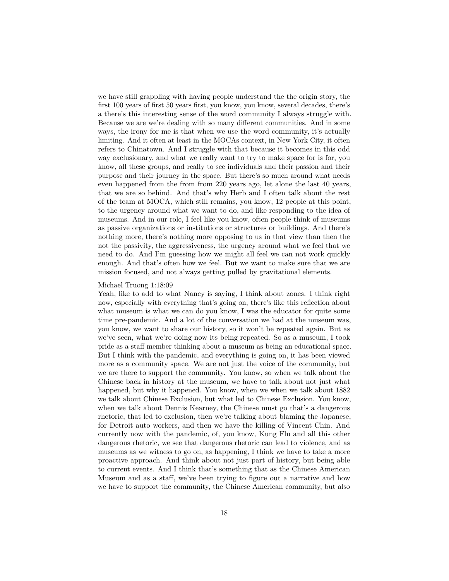we have still grappling with having people understand the the origin story, the first 100 years of first 50 years first, you know, you know, several decades, there's a there's this interesting sense of the word community I always struggle with. Because we are we're dealing with so many different communities. And in some ways, the irony for me is that when we use the word community, it's actually limiting. And it often at least in the MOCAs context, in New York City, it often refers to Chinatown. And I struggle with that because it becomes in this odd way exclusionary, and what we really want to try to make space for is for, you know, all these groups, and really to see individuals and their passion and their purpose and their journey in the space. But there's so much around what needs even happened from the from from 220 years ago, let alone the last 40 years, that we are so behind. And that's why Herb and I often talk about the rest of the team at MOCA, which still remains, you know, 12 people at this point, to the urgency around what we want to do, and like responding to the idea of museums. And in our role, I feel like you know, often people think of museums as passive organizations or institutions or structures or buildings. And there's nothing more, there's nothing more opposing to us in that view than then the not the passivity, the aggressiveness, the urgency around what we feel that we need to do. And I'm guessing how we might all feel we can not work quickly enough. And that's often how we feel. But we want to make sure that we are mission focused, and not always getting pulled by gravitational elements.

#### Michael Truong 1:18:09

Yeah, like to add to what Nancy is saying, I think about zones. I think right now, especially with everything that's going on, there's like this reflection about what museum is what we can do you know, I was the educator for quite some time pre-pandemic. And a lot of the conversation we had at the museum was, you know, we want to share our history, so it won't be repeated again. But as we've seen, what we're doing now its being repeated. So as a museum, I took pride as a staff member thinking about a museum as being an educational space. But I think with the pandemic, and everything is going on, it has been viewed more as a community space. We are not just the voice of the community, but we are there to support the community. You know, so when we talk about the Chinese back in history at the museum, we have to talk about not just what happened, but why it happened. You know, when we when we talk about 1882 we talk about Chinese Exclusion, but what led to Chinese Exclusion. You know, when we talk about Dennis Kearney, the Chinese must go that's a dangerous rhetoric, that led to exclusion, then we're talking about blaming the Japanese, for Detroit auto workers, and then we have the killing of Vincent Chin. And currently now with the pandemic, of, you know, Kung Flu and all this other dangerous rhetoric, we see that dangerous rhetoric can lead to violence, and as museums as we witness to go on, as happening, I think we have to take a more proactive approach. And think about not just part of history, but being able to current events. And I think that's something that as the Chinese American Museum and as a staff, we've been trying to figure out a narrative and how we have to support the community, the Chinese American community, but also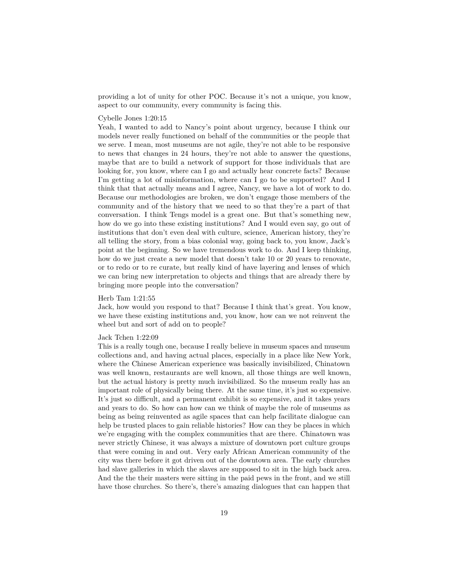providing a lot of unity for other POC. Because it's not a unique, you know, aspect to our community, every community is facing this.

### Cybelle Jones 1:20:15

Yeah, I wanted to add to Nancy's point about urgency, because I think our models never really functioned on behalf of the communities or the people that we serve. I mean, most museums are not agile, they're not able to be responsive to news that changes in 24 hours, they're not able to answer the questions, maybe that are to build a network of support for those individuals that are looking for, you know, where can I go and actually hear concrete facts? Because I'm getting a lot of misinformation, where can I go to be supported? And I think that that actually means and I agree, Nancy, we have a lot of work to do. Because our methodologies are broken, we don't engage those members of the community and of the history that we need to so that they're a part of that conversation. I think Tengs model is a great one. But that's something new, how do we go into these existing institutions? And I would even say, go out of institutions that don't even deal with culture, science, American history, they're all telling the story, from a bias colonial way, going back to, you know, Jack's point at the beginning. So we have tremendous work to do. And I keep thinking, how do we just create a new model that doesn't take 10 or 20 years to renovate, or to redo or to re curate, but really kind of have layering and lenses of which we can bring new interpretation to objects and things that are already there by bringing more people into the conversation?

### Herb Tam 1:21:55

Jack, how would you respond to that? Because I think that's great. You know, we have these existing institutions and, you know, how can we not reinvent the wheel but and sort of add on to people?

# Jack Tchen 1:22:09

This is a really tough one, because I really believe in museum spaces and museum collections and, and having actual places, especially in a place like New York, where the Chinese American experience was basically invisibilized, Chinatown was well known, restaurants are well known, all those things are well known, but the actual history is pretty much invisibilized. So the museum really has an important role of physically being there. At the same time, it's just so expensive. It's just so difficult, and a permanent exhibit is so expensive, and it takes years and years to do. So how can how can we think of maybe the role of museums as being as being reinvented as agile spaces that can help facilitate dialogue can help be trusted places to gain reliable histories? How can they be places in which we're engaging with the complex communities that are there. Chinatown was never strictly Chinese, it was always a mixture of downtown port culture groups that were coming in and out. Very early African American community of the city was there before it got driven out of the downtown area. The early churches had slave galleries in which the slaves are supposed to sit in the high back area. And the the their masters were sitting in the paid pews in the front, and we still have those churches. So there's, there's amazing dialogues that can happen that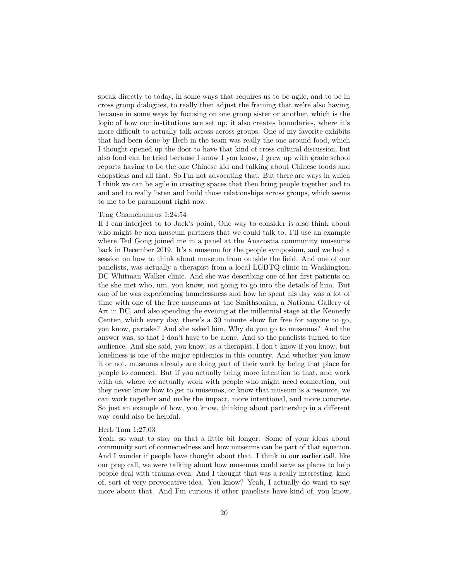speak directly to today, in some ways that requires us to be agile, and to be in cross group dialogues, to really then adjust the framing that we're also having, because in some ways by focusing on one group sister or another, which is the logic of how our institutions are set up, it also creates boundaries, where it's more difficult to actually talk across across groups. One of my favorite exhibits that had been done by Herb in the team was really the one around food, which I thought opened up the door to have that kind of cross cultural discussion, but also food can be tried because I know I you know, I grew up with grade school reports having to be the one Chinese kid and talking about Chinese foods and chopsticks and all that. So I'm not advocating that. But there are ways in which I think we can be agile in creating spaces that then bring people together and to and and to really listen and build those relationships across groups, which seems to me to be paramount right now.

### Teng Chamchumrus 1:24:54

If I can interject to to Jack's point, One way to consider is also think about who might be non museum partners that we could talk to. I'll use an example where Ted Gong joined me in a panel at the Anacostia community museums back in December 2019. It's a museum for the people symposium, and we had a session on how to think about museum from outside the field. And one of our panelists, was actually a therapist from a local LGBTQ clinic in Washington, DC Whitman Walker clinic. And she was describing one of her first patients on the she met who, um, you know, not going to go into the details of him. But one of he was experiencing homelessness and how he spent his day was a lot of time with one of the free museums at the Smithsonian, a National Gallery of Art in DC, and also spending the evening at the millennial stage at the Kennedy Center, which every day, there's a 30 minute show for free for anyone to go, you know, partake? And she asked him, Why do you go to museums? And the answer was, so that I don't have to be alone. And so the panelists turned to the audience. And she said, you know, as a therapist, I don't know if you know, but loneliness is one of the major epidemics in this country. And whether you know it or not, museums already are doing part of their work by being that place for people to connect. But if you actually bring more intention to that, and work with us, where we actually work with people who might need connection, but they never know how to get to museums, or know that museum is a resource, we can work together and make the impact, more intentional, and more concrete. So just an example of how, you know, thinking about partnership in a different way could also be helpful.

### Herb Tam 1:27:03

Yeah, so want to stay on that a little bit longer. Some of your ideas about community sort of connectedness and how museums can be part of that equation. And I wonder if people have thought about that. I think in our earlier call, like our prep call, we were talking about how museums could serve as places to help people deal with trauma even. And I thought that was a really interesting, kind of, sort of very provocative idea. You know? Yeah, I actually do want to say more about that. And I'm curious if other panelists have kind of, you know,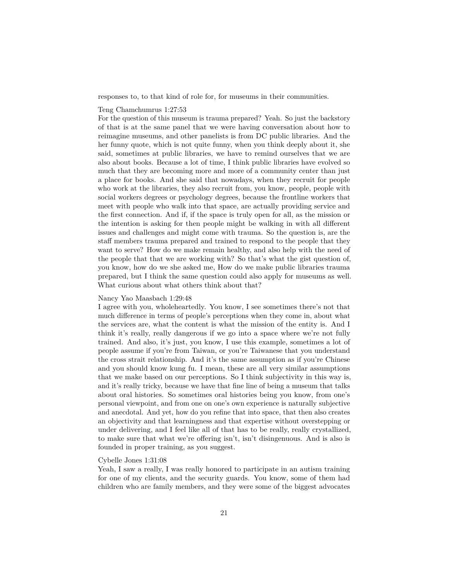responses to, to that kind of role for, for museums in their communities.

#### Teng Chamchumrus 1:27:53

For the question of this museum is trauma prepared? Yeah. So just the backstory of that is at the same panel that we were having conversation about how to reimagine museums, and other panelists is from DC public libraries. And the her funny quote, which is not quite funny, when you think deeply about it, she said, sometimes at public libraries, we have to remind ourselves that we are also about books. Because a lot of time, I think public libraries have evolved so much that they are becoming more and more of a community center than just a place for books. And she said that nowadays, when they recruit for people who work at the libraries, they also recruit from, you know, people, people with social workers degrees or psychology degrees, because the frontline workers that meet with people who walk into that space, are actually providing service and the first connection. And if, if the space is truly open for all, as the mission or the intention is asking for then people might be walking in with all different issues and challenges and might come with trauma. So the question is, are the staff members trauma prepared and trained to respond to the people that they want to serve? How do we make remain healthy, and also help with the need of the people that that we are working with? So that's what the gist question of, you know, how do we she asked me, How do we make public libraries trauma prepared, but I think the same question could also apply for museums as well. What curious about what others think about that?

# Nancy Yao Maasbach 1:29:48

I agree with you, wholeheartedly. You know, I see sometimes there's not that much difference in terms of people's perceptions when they come in, about what the services are, what the content is what the mission of the entity is. And I think it's really, really dangerous if we go into a space where we're not fully trained. And also, it's just, you know, I use this example, sometimes a lot of people assume if you're from Taiwan, or you're Taiwanese that you understand the cross strait relationship. And it's the same assumption as if you're Chinese and you should know kung fu. I mean, these are all very similar assumptions that we make based on our perceptions. So I think subjectivity in this way is, and it's really tricky, because we have that fine line of being a museum that talks about oral histories. So sometimes oral histories being you know, from one's personal viewpoint, and from one on one's own experience is naturally subjective and anecdotal. And yet, how do you refine that into space, that then also creates an objectivity and that learningness and that expertise without overstepping or under delivering, and I feel like all of that has to be really, really crystallized, to make sure that what we're offering isn't, isn't disingenuous. And is also is founded in proper training, as you suggest.

# Cybelle Jones 1:31:08

Yeah, I saw a really, I was really honored to participate in an autism training for one of my clients, and the security guards. You know, some of them had children who are family members, and they were some of the biggest advocates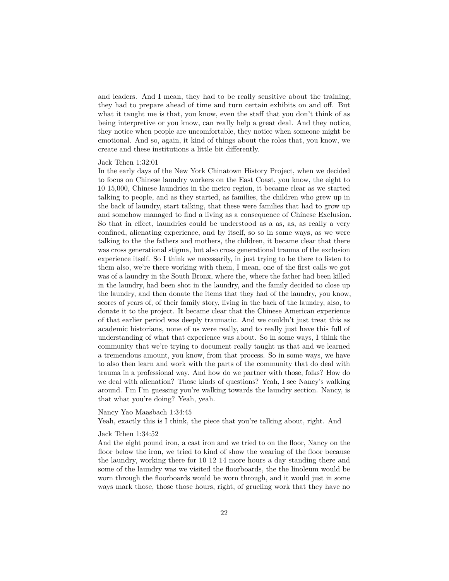and leaders. And I mean, they had to be really sensitive about the training, they had to prepare ahead of time and turn certain exhibits on and off. But what it taught me is that, you know, even the staff that you don't think of as being interpretive or you know, can really help a great deal. And they notice, they notice when people are uncomfortable, they notice when someone might be emotional. And so, again, it kind of things about the roles that, you know, we create and these institutions a little bit differently.

#### Jack Tchen 1:32:01

In the early days of the New York Chinatown History Project, when we decided to focus on Chinese laundry workers on the East Coast, you know, the eight to 10 15,000, Chinese laundries in the metro region, it became clear as we started talking to people, and as they started, as families, the children who grew up in the back of laundry, start talking, that these were families that had to grow up and somehow managed to find a living as a consequence of Chinese Exclusion. So that in effect, laundries could be understood as a as, as, as really a very confined, alienating experience, and by itself, so so in some ways, as we were talking to the the fathers and mothers, the children, it became clear that there was cross generational stigma, but also cross generational trauma of the exclusion experience itself. So I think we necessarily, in just trying to be there to listen to them also, we're there working with them, I mean, one of the first calls we got was of a laundry in the South Bronx, where the, where the father had been killed in the laundry, had been shot in the laundry, and the family decided to close up the laundry, and then donate the items that they had of the laundry, you know, scores of years of, of their family story, living in the back of the laundry, also, to donate it to the project. It became clear that the Chinese American experience of that earlier period was deeply traumatic. And we couldn't just treat this as academic historians, none of us were really, and to really just have this full of understanding of what that experience was about. So in some ways, I think the community that we're trying to document really taught us that and we learned a tremendous amount, you know, from that process. So in some ways, we have to also then learn and work with the parts of the community that do deal with trauma in a professional way. And how do we partner with those, folks? How do we deal with alienation? Those kinds of questions? Yeah, I see Nancy's walking around. I'm I'm guessing you're walking towards the laundry section. Nancy, is that what you're doing? Yeah, yeah.

# Nancy Yao Maasbach 1:34:45 Yeah, exactly this is I think, the piece that you're talking about, right. And

#### Jack Tchen 1:34:52

And the eight pound iron, a cast iron and we tried to on the floor, Nancy on the floor below the iron, we tried to kind of show the wearing of the floor because the laundry, working there for 10 12 14 more hours a day standing there and some of the laundry was we visited the floorboards, the the linoleum would be worn through the floorboards would be worn through, and it would just in some ways mark those, those those hours, right, of grueling work that they have no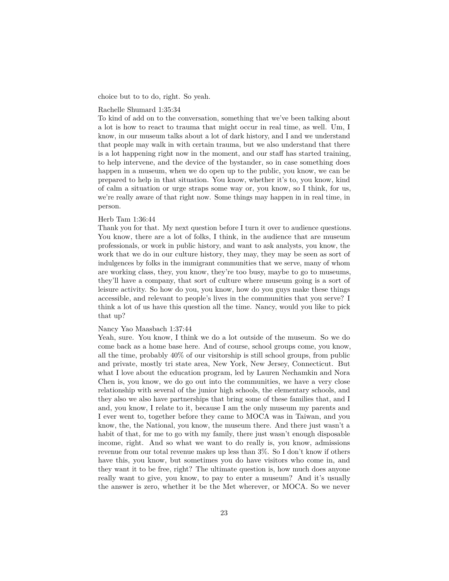### choice but to to do, right. So yeah.

### Rachelle Shumard 1:35:34

To kind of add on to the conversation, something that we've been talking about a lot is how to react to trauma that might occur in real time, as well. Um, I know, in our museum talks about a lot of dark history, and I and we understand that people may walk in with certain trauma, but we also understand that there is a lot happening right now in the moment, and our staff has started training, to help intervene, and the device of the bystander, so in case something does happen in a museum, when we do open up to the public, you know, we can be prepared to help in that situation. You know, whether it's to, you know, kind of calm a situation or urge straps some way or, you know, so I think, for us, we're really aware of that right now. Some things may happen in in real time, in person.

# Herb Tam 1:36:44

Thank you for that. My next question before I turn it over to audience questions. You know, there are a lot of folks, I think, in the audience that are museum professionals, or work in public history, and want to ask analysts, you know, the work that we do in our culture history, they may, they may be seen as sort of indulgences by folks in the immigrant communities that we serve, many of whom are working class, they, you know, they're too busy, maybe to go to museums, they'll have a company, that sort of culture where museum going is a sort of leisure activity. So how do you, you know, how do you guys make these things accessible, and relevant to people's lives in the communities that you serve? I think a lot of us have this question all the time. Nancy, would you like to pick that up?

### Nancy Yao Maasbach 1:37:44

Yeah, sure. You know, I think we do a lot outside of the museum. So we do come back as a home base here. And of course, school groups come, you know, all the time, probably 40% of our visitorship is still school groups, from public and private, mostly tri state area, New York, New Jersey, Connecticut. But what I love about the education program, led by Lauren Nechamkin and Nora Chen is, you know, we do go out into the communities, we have a very close relationship with several of the junior high schools, the elementary schools, and they also we also have partnerships that bring some of these families that, and I and, you know, I relate to it, because I am the only museum my parents and I ever went to, together before they came to MOCA was in Taiwan, and you know, the, the National, you know, the museum there. And there just wasn't a habit of that, for me to go with my family, there just wasn't enough disposable income, right. And so what we want to do really is, you know, admissions revenue from our total revenue makes up less than 3%. So I don't know if others have this, you know, but sometimes you do have visitors who come in, and they want it to be free, right? The ultimate question is, how much does anyone really want to give, you know, to pay to enter a museum? And it's usually the answer is zero, whether it be the Met wherever, or MOCA. So we never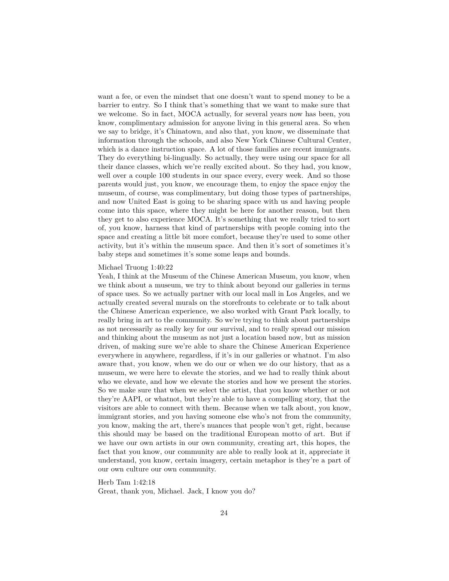want a fee, or even the mindset that one doesn't want to spend money to be a barrier to entry. So I think that's something that we want to make sure that we welcome. So in fact, MOCA actually, for several years now has been, you know, complimentary admission for anyone living in this general area. So when we say to bridge, it's Chinatown, and also that, you know, we disseminate that information through the schools, and also New York Chinese Cultural Center, which is a dance instruction space. A lot of those families are recent immigrants. They do everything bi-lingually. So actually, they were using our space for all their dance classes, which we're really excited about. So they had, you know, well over a couple 100 students in our space every, every week. And so those parents would just, you know, we encourage them, to enjoy the space enjoy the museum, of course, was complimentary, but doing those types of partnerships, and now United East is going to be sharing space with us and having people come into this space, where they might be here for another reason, but then they get to also experience MOCA. It's something that we really tried to sort of, you know, harness that kind of partnerships with people coming into the space and creating a little bit more comfort, because they're used to some other activity, but it's within the museum space. And then it's sort of sometimes it's baby steps and sometimes it's some some leaps and bounds.

### Michael Truong 1:40:22

Yeah, I think at the Museum of the Chinese American Museum, you know, when we think about a museum, we try to think about beyond our galleries in terms of space uses. So we actually partner with our local mall in Los Angeles, and we actually created several murals on the storefronts to celebrate or to talk about the Chinese American experience, we also worked with Grant Park locally, to really bring in art to the community. So we're trying to think about partnerships as not necessarily as really key for our survival, and to really spread our mission and thinking about the museum as not just a location based now, but as mission driven, of making sure we're able to share the Chinese American Experience everywhere in anywhere, regardless, if it's in our galleries or whatnot. I'm also aware that, you know, when we do our or when we do our history, that as a museum, we were here to elevate the stories, and we had to really think about who we elevate, and how we elevate the stories and how we present the stories. So we make sure that when we select the artist, that you know whether or not they're AAPI, or whatnot, but they're able to have a compelling story, that the visitors are able to connect with them. Because when we talk about, you know, immigrant stories, and you having someone else who's not from the community, you know, making the art, there's nuances that people won't get, right, because this should may be based on the traditional European motto of art. But if we have our own artists in our own community, creating art, this hopes, the fact that you know, our community are able to really look at it, appreciate it understand, you know, certain imagery, certain metaphor is they're a part of our own culture our own community.

Herb Tam 1:42:18 Great, thank you, Michael. Jack, I know you do?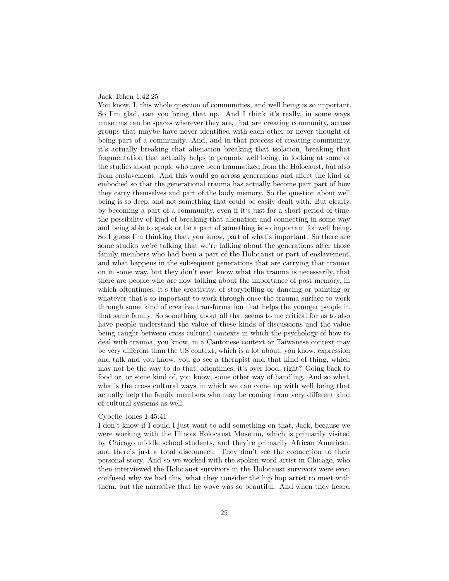## Jack Tchen 1:42:25

You know, I, this whole question of communities, and well being is so important. So I'm glad, can you bring that up. And I think it's really, in some ways museums can be spaces wherever they are, that are creating community, across groups that maybe have never identified with each other or never thought of being part of a community. And, and in that process of creating community, it's actually breaking that alienation breaking that isolation, breaking that fragmentation that actually helps to promote well being, in looking at some of the studies about people who have been traumatized from the Holocaust, but also from enslavement. And this would go across generations and affect the kind of embodied so that the generational trauma has actually become part part of how they carry themselves and part of the body memory. So the question about well being is so deep, and not something that could be easily dealt with. But clearly, by becoming a part of a community, even if it's just for a short period of time, the possibility of kind of breaking that alienation and connecting in some way and being able to speak or be a part of something is so important for well being. So I guess I'm thinking that, you know, part of what's important. So there are some studies we're talking that we're talking about the generations after those family members who had been a part of the Holocaust or part of enslavement, and what happens in the subsequent generations that are carrying that trauma on in some way, but they don't even know what the trauma is necessarily, that there are people who are now talking about the importance of post memory, in which oftentimes, it's the creativity, of storytelling or dancing or painting or whatever that's so important to work through once the trauma surface to work through some kind of creative transformation that helps the younger people in that same family. So something about all that seems to me critical for us to also have people understand the value of these kinds of discussions and the value being caught between cross cultural contexts in which the psychology of how to deal with trauma, you know, in a Cantonese context or Taiwanese context may be very different than the US context, which is a lot about, you know, expression and talk and you know, you go see a therapist and that kind of thing, which may not be the way to do that, oftentimes, it's over food, right? Going back to food or, or some kind of, you know, some other way of handling. And so what, what's the cross cultural ways in which we can come up with well being that actually help the family members who may be coming from very different kind of cultural systems as well.

#### Cybelle Jones 1:45:41

I don't know if I could I just want to add something on that, Jack, because we were working with the Illinois Holocaust Museum, which is primarily visited by Chicago middle school students, and they're primarily African American, and there's just a total disconnect. They don't see the connection to their personal story. And so we worked with the spoken word artist in Chicago, who then interviewed the Holocaust survivors in the Holocaust survivors were even confused why we had this, what they consider the hip hop artist to meet with them, but the narrative that he wove was so beautiful. And when they heard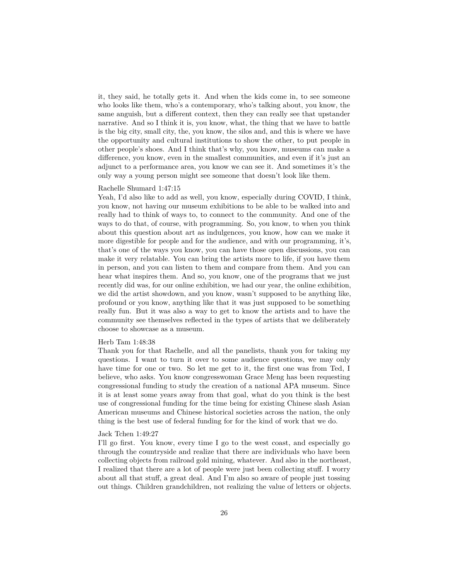it, they said, he totally gets it. And when the kids come in, to see someone who looks like them, who's a contemporary, who's talking about, you know, the same anguish, but a different context, then they can really see that upstander narrative. And so I think it is, you know, what, the thing that we have to battle is the big city, small city, the, you know, the silos and, and this is where we have the opportunity and cultural institutions to show the other, to put people in other people's shoes. And I think that's why, you know, museums can make a difference, you know, even in the smallest communities, and even if it's just an adjunct to a performance area, you know we can see it. And sometimes it's the only way a young person might see someone that doesn't look like them.

### Rachelle Shumard 1:47:15

Yeah, I'd also like to add as well, you know, especially during COVID, I think, you know, not having our museum exhibitions to be able to be walked into and really had to think of ways to, to connect to the community. And one of the ways to do that, of course, with programming. So, you know, to when you think about this question about art as indulgences, you know, how can we make it more digestible for people and for the audience, and with our programming, it's, that's one of the ways you know, you can have those open discussions, you can make it very relatable. You can bring the artists more to life, if you have them in person, and you can listen to them and compare from them. And you can hear what inspires them. And so, you know, one of the programs that we just recently did was, for our online exhibition, we had our year, the online exhibition, we did the artist showdown, and you know, wasn't supposed to be anything like, profound or you know, anything like that it was just supposed to be something really fun. But it was also a way to get to know the artists and to have the community see themselves reflected in the types of artists that we deliberately choose to showcase as a museum.

#### Herb Tam 1:48:38

Thank you for that Rachelle, and all the panelists, thank you for taking my questions. I want to turn it over to some audience questions, we may only have time for one or two. So let me get to it, the first one was from Ted, I believe, who asks. You know congresswoman Grace Meng has been requesting congressional funding to study the creation of a national APA museum. Since it is at least some years away from that goal, what do you think is the best use of congressional funding for the time being for existing Chinese slash Asian American museums and Chinese historical societies across the nation, the only thing is the best use of federal funding for for the kind of work that we do.

#### Jack Tchen 1:49:27

I'll go first. You know, every time I go to the west coast, and especially go through the countryside and realize that there are individuals who have been collecting objects from railroad gold mining, whatever. And also in the northeast, I realized that there are a lot of people were just been collecting stuff. I worry about all that stuff, a great deal. And I'm also so aware of people just tossing out things. Children grandchildren, not realizing the value of letters or objects.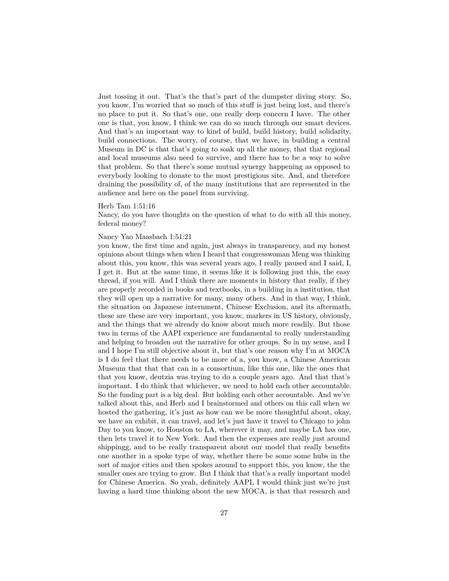Just tossing it out. That's the that's part of the dumpster diving story. So, you know, I'm worried that so much of this stuff is just being lost, and there's no place to put it. So that's one, one really deep concern I have. The other one is that, you know, I think we can do so much through our smart devices. And that's an important way to kind of build, build history, build solidarity, build connections. The worry, of course, that we have, in building a central Museum in DC is that that's going to soak up all the money, that that regional and local museums also need to survive, and there has to be a way to solve that problem. So that there's some mutual synergy happening as opposed to everybody looking to donate to the most prestigious site. And, and therefore draining the possibility of, of the many institutions that are represented in the audience and here on the panel from surviving.

#### Herb Tam 1:51:16

Nancy, do you have thoughts on the question of what to do with all this money, federal money?

### Nancy Yao Maasbach 1:51:21

you know, the first time and again, just always in transparency, and my honest opinions about things when when I heard that congresswoman Meng was thinking about this, you know, this was several years ago, I really paused and I said, I, I get it. But at the same time, it seems like it is following just this, the easy thread, if you will. And I think there are moments in history that really, if they are properly recorded in books and textbooks, in a building in a institution, that they will open up a narrative for many, many others. And in that way, I think, the situation on Japanese internment, Chinese Exclusion, and its aftermath, these are these are very important, you know, markers in US history, obviously, and the things that we already do know about much more readily. But those two in terms of the AAPI experience are fundamental to really understanding and helping to broaden out the narrative for other groups. So in my sense, and I and I hope I'm still objective about it, but that's one reason why I'm at MOCA is I do feel that there needs to be more of a, you know, a Chinese American Museum that that that can in a consortium, like this one, like the ones that that you know, deutzia was trying to do a couple years ago. And that that's important. I do think that whichever, we need to hold each other accountable. So the funding part is a big deal. But holding each other accountable. And we've talked about this, and Herb and I brainstormed and others on this call when we hosted the gathering, it's just as how can we be more thoughtful about, okay, we have an exhibit, it can travel, and let's just have it travel to Chicago to john Day to you know, to Houston to LA, wherever it may, and maybe LA has one, then lets travel it to New York. And then the expenses are really just around shippingg, and to be really transparent about our model that really benefits one another in a spoke type of way, whether there be some some hubs in the sort of major cities and then spokes around to support this, you know, the the smaller ones are trying to grow. But I think that that's a really important model for Chinese America. So yeah, definitely AAPI, I would think just we're just having a hard time thinking about the new MOCA, is that that research and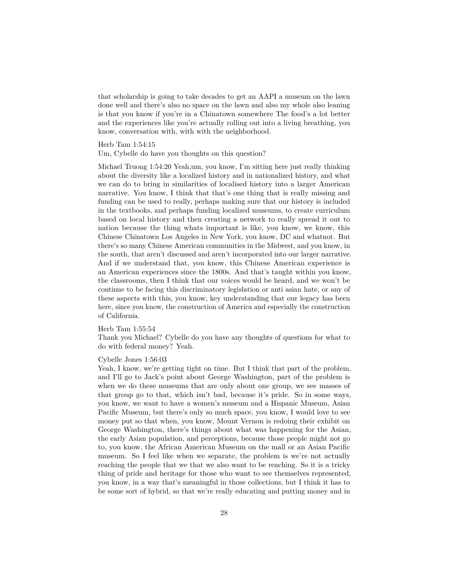that scholarship is going to take decades to get an AAPI a museum on the lawn done well and there's also no space on the lawn and also my whole also leaning is that you know if you're in a Chinatown somewhere The food's a lot better and the experiences like you're actually rolling out into a living breathing, you know, conversation with, with with the neighborhood.

## Herb Tam 1:54:15

Um, Cybelle do have you thoughts on this question?

Michael Truong 1:54:20 Yeah,um, you know, I'm sitting here just really thinking about the diversity like a localized history and in nationalized history, and what we can do to bring in similarities of localised history into a larger American narrative. You know, I think that that's one thing that is really missing and funding can be used to really, perhaps making sure that our history is included in the textbooks, and perhaps funding localized museums, to create curriculum based on local history and then creating a network to really spread it out to nation because the thing whats important is like, you know, we know, this Chinese Chinatown Los Angeles in New York, you know, DC and whatnot. But there's so many Chinese American communities in the Midwest, and you know, in the south, that aren't discussed and aren't incorporated into our larger narrative. And if we understand that, you know, this Chinese American experience is an American experiences since the 1800s. And that's taught within you know, the classrooms, then I think that our voices would be heard, and we won't be continue to be facing this discriminatory legislation or anti asian hate, or any of these aspects with this, you know, key understanding that our legacy has been here, since you know, the construction of America and especially the construction of California.

### Herb Tam 1:55:54

Thank you Michael? Cybelle do you have any thoughts of questions for what to do with federal money? Yeah.

### Cybelle Jones 1:56:03

Yeah, I know, we're getting tight on time. But I think that part of the problem, and I'll go to Jack's point about George Washington, part of the problem is when we do these museums that are only about one group, we see masses of that group go to that, which isn't bad, because it's pride. So in some ways, you know, we want to have a women's museum and a Hispanic Museum, Asian Pacific Museum, but there's only so much space, you know, I would love to see money put so that when, you know, Mount Vernon is redoing their exhibit on George Washington, there's things about what was happening for the Asian, the early Asian population, and perceptions, because those people might not go to, you know, the African American Museum on the mall or an Asian Pacific museum. So I feel like when we separate, the problem is we're not actually reaching the people that we that we also want to be reaching. So it is a tricky thing of pride and heritage for those who want to see themselves represented, you know, in a way that's meaningful in those collections, but I think it has to be some sort of hybrid, so that we're really educating and putting money and in